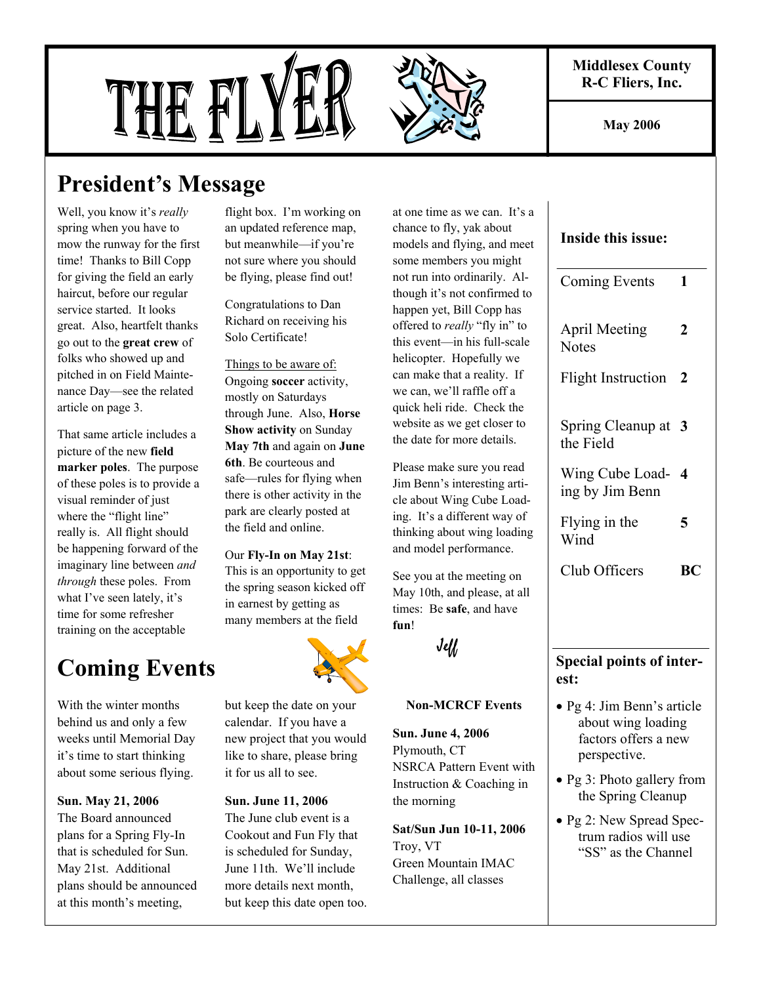**Middlesex County R-C Fliers, Inc.** 

**May 2006** 

# THE FL



# **President's Message**

Well, you know it's *really*  spring when you have to mow the runway for the first time! Thanks to Bill Copp for giving the field an early haircut, before our regular service started. It looks great. Also, heartfelt thanks go out to the **great crew** of folks who showed up and pitched in on Field Maintenance Day—see the related article on page 3.

That same article includes a picture of the new **field marker poles**. The purpose of these poles is to provide a visual reminder of just where the "flight line" really is. All flight should be happening forward of the imaginary line between *and through* these poles. From what I've seen lately, it's time for some refresher training on the acceptable

flight box. I'm working on an updated reference map, but meanwhile—if you're not sure where you should be flying, please find out!

Congratulations to Dan Richard on receiving his Solo Certificate!

Things to be aware of: Ongoing **soccer** activity, mostly on Saturdays through June. Also, **Horse Show activity** on Sunday **May 7th** and again on **June 6th**. Be courteous and safe—rules for flying when there is other activity in the park are clearly posted at the field and online.

Our **Fly-In on May 21st**: This is an opportunity to get the spring season kicked off in earnest by getting as many members at the field

# **Coming Events**

With the winter months behind us and only a few weeks until Memorial Day it's time to start thinking about some serious flying.

**Sun. May 21, 2006** The Board announced plans for a Spring Fly-In that is scheduled for Sun. May 21st. Additional plans should be announced at this month's meeting,

but keep the date on your calendar. If you have a new project that you would like to share, please bring it for us all to see.

#### **Sun. June 11, 2006**

The June club event is a Cookout and Fun Fly that is scheduled for Sunday, June 11th. We'll include more details next month, but keep this date open too. at one time as we can. It's a chance to fly, yak about models and flying, and meet some members you might not run into ordinarily. Although it's not confirmed to happen yet, Bill Copp has offered to *really* "fly in" to this event—in his full-scale helicopter. Hopefully we can make that a reality. If we can, we'll raffle off a quick heli ride. Check the website as we get closer to the date for more details.

Please make sure you read Jim Benn's interesting article about Wing Cube Loading. It's a different way of thinking about wing loading and model performance.

See you at the meeting on May 10th, and please, at all times: Be **safe**, and have **fun**!

Jeff

#### **Non-MCRCF Events**

**Sun. June 4, 2006** Plymouth, CT NSRCA Pattern Event with Instruction & Coaching in the morning

**Sat/Sun Jun 10-11, 2006** Troy, VT Green Mountain IMAC Challenge, all classes

#### **Inside this issue:**

| Coming Events                                                                            | 1         |
|------------------------------------------------------------------------------------------|-----------|
| <b>April Meeting</b><br><b>Notes</b>                                                     | 2         |
| <b>Flight Instruction</b>                                                                | 2         |
| Spring Cleanup at<br>the Field                                                           | 3         |
| Wing Cube Load-<br>ing by Jim Benn                                                       | 4         |
| Flying in the<br>Wind                                                                    | 5         |
| Club Officers                                                                            | <b>BC</b> |
|                                                                                          |           |
| <b>Special points of inter-</b>                                                          |           |
| est:                                                                                     |           |
| · Pg 4: Jim Benn's article<br>about wing loading<br>factors offers a new<br>perspective. |           |
|                                                                                          |           |

- Pg 3: Photo gallery from the Spring Cleanup
- Pg 2: New Spread Spectrum radios will use "SS" as the Channel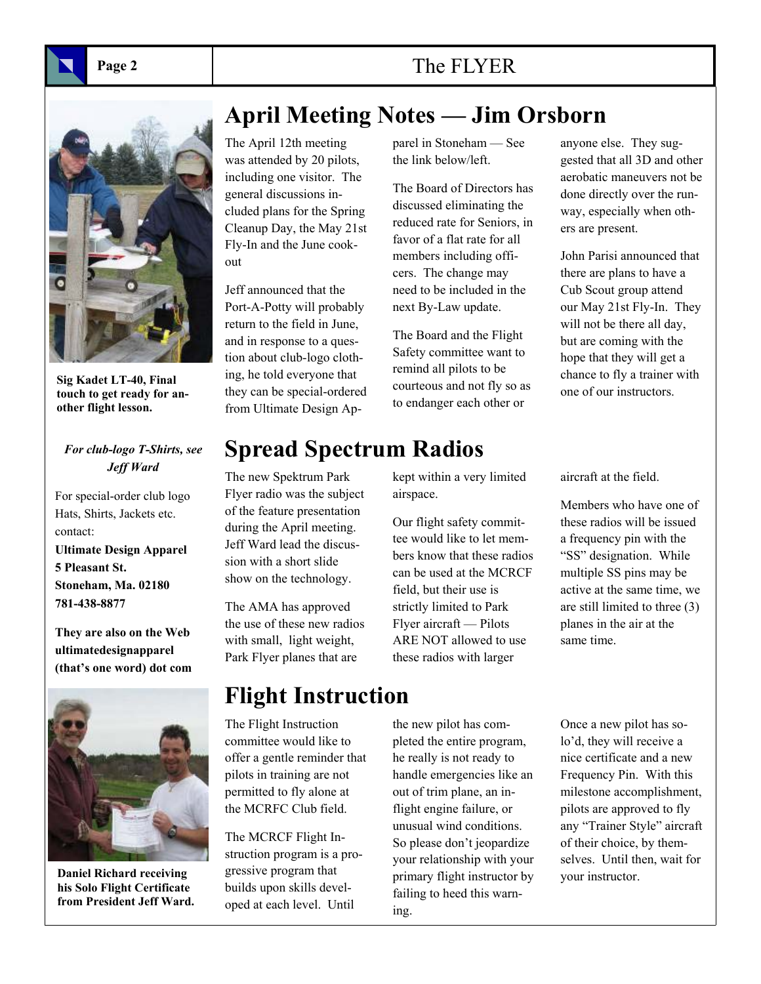## Page 2 **The FLYER**



**Sig Kadet LT-40, Final touch to get ready for another flight lesson.** 

#### *For club-logo T-Shirts, see Jeff Ward*

For special-order club logo Hats, Shirts, Jackets etc. contact: **Ultimate Design Apparel 5 Pleasant St. Stoneham, Ma. 02180 781-438-8877** 

**They are also on the Web ultimatedesignapparel (that's one word) dot com**



**Daniel Richard receiving his Solo Flight Certificate from President Jeff Ward.** 

## **April Meeting Notes — Jim Orsborn**

The April 12th meeting was attended by 20 pilots, including one visitor. The general discussions included plans for the Spring Cleanup Day, the May 21st Fly-In and the June cookout

Jeff announced that the Port-A-Potty will probably return to the field in June, and in response to a question about club-logo clothing, he told everyone that they can be special-ordered from Ultimate Design Apparel in Stoneham — See the link below/left.

The Board of Directors has discussed eliminating the reduced rate for Seniors, in favor of a flat rate for all members including officers. The change may need to be included in the next By-Law update.

The Board and the Flight Safety committee want to remind all pilots to be courteous and not fly so as to endanger each other or

anyone else. They suggested that all 3D and other aerobatic maneuvers not be done directly over the runway, especially when others are present.

John Parisi announced that there are plans to have a Cub Scout group attend our May 21st Fly-In. They will not be there all day, but are coming with the hope that they will get a chance to fly a trainer with one of our instructors.

## **Spread Spectrum Radios**

The new Spektrum Park Flyer radio was the subject of the feature presentation during the April meeting. Jeff Ward lead the discussion with a short slide show on the technology.

The AMA has approved the use of these new radios with small, light weight, Park Flyer planes that are

## **Flight Instruction**

The Flight Instruction committee would like to offer a gentle reminder that pilots in training are not permitted to fly alone at the MCRFC Club field.

The MCRCF Flight Instruction program is a progressive program that builds upon skills developed at each level. Until

kept within a very limited airspace.

Our flight safety committee would like to let members know that these radios can be used at the MCRCF field, but their use is strictly limited to Park Flyer aircraft — Pilots ARE NOT allowed to use these radios with larger

the new pilot has completed the entire program, he really is not ready to handle emergencies like an out of trim plane, an inflight engine failure, or unusual wind conditions. So please don't jeopardize your relationship with your primary flight instructor by failing to heed this warning.

aircraft at the field.

Members who have one of these radios will be issued a frequency pin with the "SS" designation. While multiple SS pins may be active at the same time, we are still limited to three (3) planes in the air at the same time.

Once a new pilot has solo'd, they will receive a nice certificate and a new Frequency Pin. With this milestone accomplishment, pilots are approved to fly any "Trainer Style" aircraft of their choice, by themselves. Until then, wait for your instructor.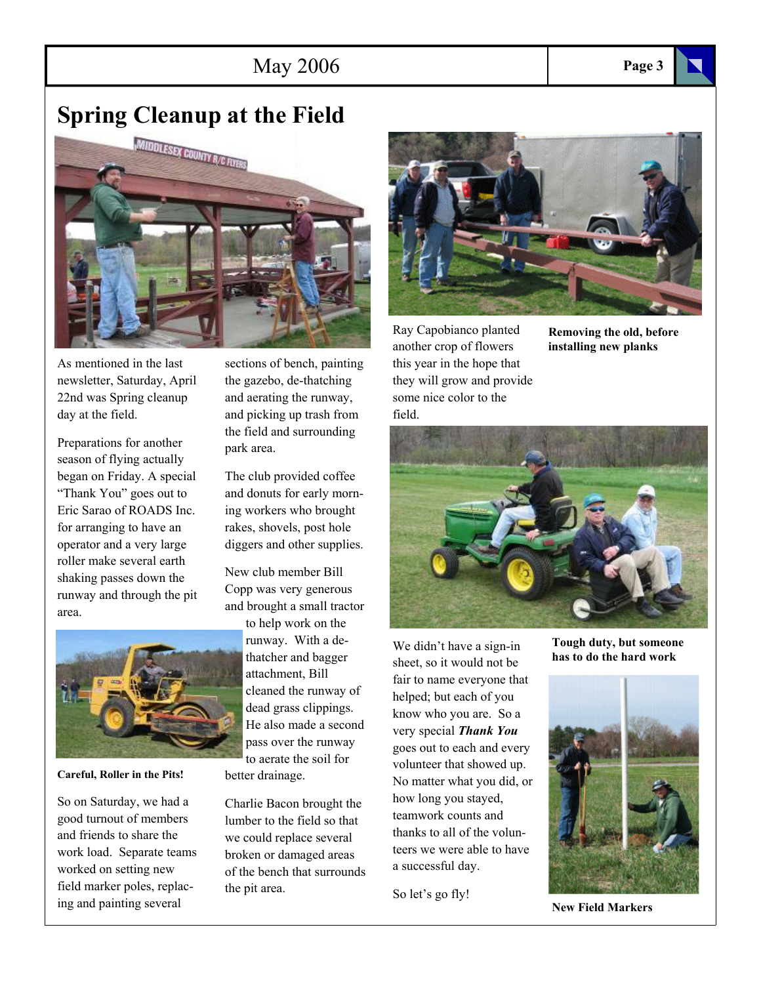### May 2006 **Page 3**

## **Spring Cleanup at the Field**



As mentioned in the last newsletter, Saturday, April 22nd was Spring cleanup day at the field.

Preparations for another season of flying actually began on Friday. A special "Thank You" goes out to Eric Sarao of ROADS Inc. for arranging to have an operator and a very large roller make several earth shaking passes down the runway and through the pit area.



**Careful, Roller in the Pits!** 

So on Saturday, we had a good turnout of members and friends to share the work load. Separate teams worked on setting new field marker poles, replacing and painting several

sections of bench, painting the gazebo, de-thatching and aerating the runway, and picking up trash from the field and surrounding park area.

The club provided coffee and donuts for early morning workers who brought rakes, shovels, post hole diggers and other supplies.

New club member Bill Copp was very generous and brought a small tractor

to help work on the runway. With a dethatcher and bagger attachment, Bill cleaned the runway of dead grass clippings. He also made a second pass over the runway to aerate the soil for better drainage.

Charlie Bacon brought the lumber to the field so that we could replace several broken or damaged areas of the bench that surrounds the pit area.



Ray Capobianco planted another crop of flowers this year in the hope that they will grow and provide some nice color to the field.

**Removing the old, before installing new planks** 



We didn't have a sign-in sheet, so it would not be fair to name everyone that helped; but each of you know who you are. So a very special *Thank You*  goes out to each and every volunteer that showed up. No matter what you did, or how long you stayed, teamwork counts and thanks to all of the volunteers we were able to have a successful day.

So let's go fly!

**Tough duty, but someone has to do the hard work** 



**New Field Markers**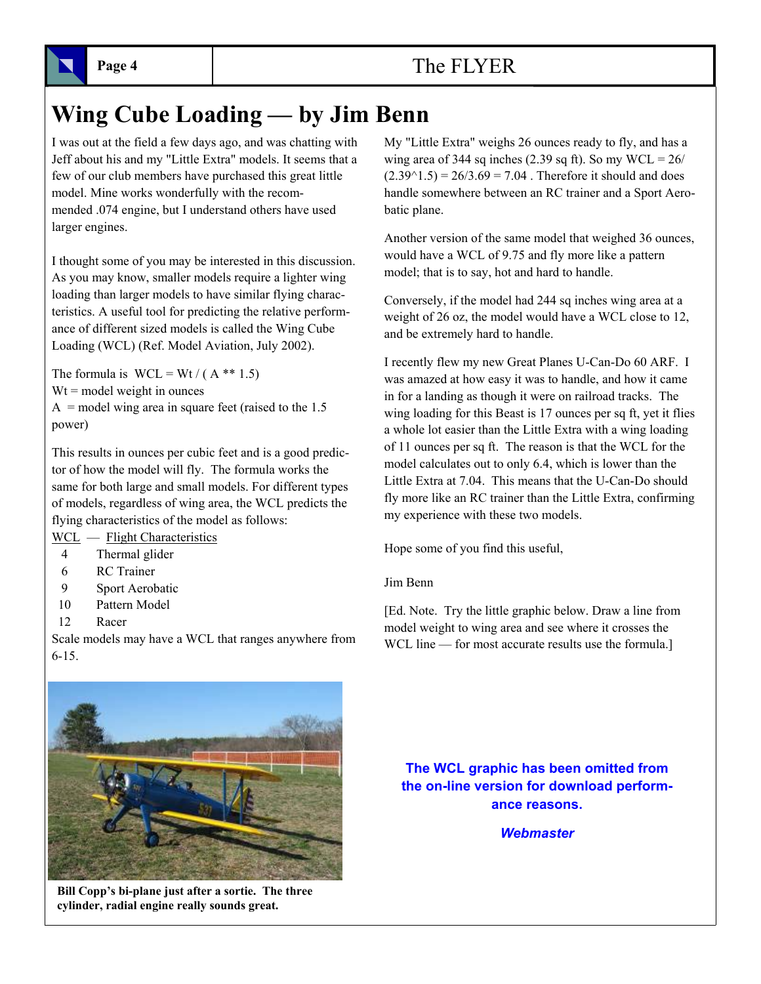# **Wing Cube Loading — by Jim Benn**

I was out at the field a few days ago, and was chatting with Jeff about his and my "Little Extra" models. It seems that a few of our club members have purchased this great little model. Mine works wonderfully with the recommended .074 engine, but I understand others have used larger engines.

I thought some of you may be interested in this discussion. As you may know, smaller models require a lighter wing loading than larger models to have similar flying characteristics. A useful tool for predicting the relative performance of different sized models is called the Wing Cube Loading (WCL) (Ref. Model Aviation, July 2002).

The formula is  $WCL = Wt / (A ** 1.5)$  $Wt$  = model weight in ounces  $A =$  model wing area in square feet (raised to the 1.5 power)

This results in ounces per cubic feet and is a good predictor of how the model will fly. The formula works the same for both large and small models. For different types of models, regardless of wing area, the WCL predicts the flying characteristics of the model as follows:

WCL — Flight Characteristics

- 4 Thermal glider
- 6 RC Trainer
- 9 Sport Aerobatic
- 10 Pattern Model
- 12 Racer

Scale models may have a WCL that ranges anywhere from 6-15.

My "Little Extra" weighs 26 ounces ready to fly, and has a wing area of 344 sq inches (2.39 sq ft). So my  $WCL = 26/$  $(2.39<sup>1</sup>1.5) = 26/3.69 = 7.04$ . Therefore it should and does handle somewhere between an RC trainer and a Sport Aerobatic plane.

Another version of the same model that weighed 36 ounces, would have a WCL of 9.75 and fly more like a pattern model; that is to say, hot and hard to handle.

Conversely, if the model had 244 sq inches wing area at a weight of 26 oz, the model would have a WCL close to 12, and be extremely hard to handle.

I recently flew my new Great Planes U-Can-Do 60 ARF. I was amazed at how easy it was to handle, and how it came in for a landing as though it were on railroad tracks. The wing loading for this Beast is 17 ounces per sq ft, yet it flies a whole lot easier than the Little Extra with a wing loading of 11 ounces per sq ft. The reason is that the WCL for the model calculates out to only 6.4, which is lower than the Little Extra at 7.04. This means that the U-Can-Do should fly more like an RC trainer than the Little Extra, confirming my experience with these two models.

Hope some of you find this useful,

#### Jim Benn

[Ed. Note. Try the little graphic below. Draw a line from model weight to wing area and see where it crosses the WCL line — for most accurate results use the formula.]



**Bill Copp's bi-plane just after a sortie. The three cylinder, radial engine really sounds great.** 

**The WCL graphic has been omitted from the on-line version for download performance reasons.** 

#### *Webmaster*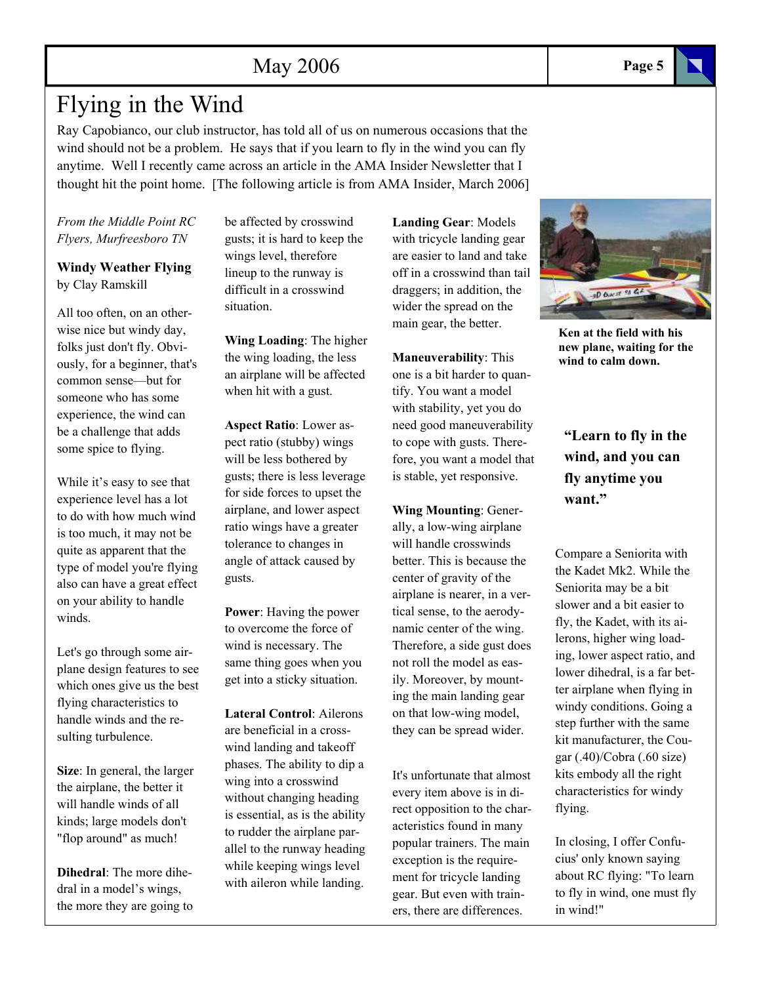## Flying in the Wind

Ray Capobianco, our club instructor, has told all of us on numerous occasions that the wind should not be a problem. He says that if you learn to fly in the wind you can fly anytime. Well I recently came across an article in the AMA Insider Newsletter that I thought hit the point home. [The following article is from AMA Insider, March 2006]

*From the Middle Point RC Flyers, Murfreesboro TN* 

**Windy Weather Flying**  by Clay Ramskill

All too often, on an otherwise nice but windy day, folks just don't fly. Obviously, for a beginner, that's common sense—but for someone who has some experience, the wind can be a challenge that adds some spice to flying.

While it's easy to see that experience level has a lot to do with how much wind is too much, it may not be quite as apparent that the type of model you're flying also can have a great effect on your ability to handle winds.

Let's go through some airplane design features to see which ones give us the best flying characteristics to handle winds and the resulting turbulence.

**Size**: In general, the larger the airplane, the better it will handle winds of all kinds; large models don't "flop around" as much!

**Dihedral**: The more dihedral in a model's wings, the more they are going to be affected by crosswind gusts; it is hard to keep the wings level, therefore lineup to the runway is difficult in a crosswind situation.

**Wing Loading**: The higher the wing loading, the less an airplane will be affected when hit with a gust.

**Aspect Ratio**: Lower aspect ratio (stubby) wings will be less bothered by gusts; there is less leverage for side forces to upset the airplane, and lower aspect ratio wings have a greater tolerance to changes in angle of attack caused by gusts.

**Power**: Having the power to overcome the force of wind is necessary. The same thing goes when you get into a sticky situation.

**Lateral Control**: Ailerons are beneficial in a crosswind landing and takeoff phases. The ability to dip a wing into a crosswind without changing heading is essential, as is the ability to rudder the airplane parallel to the runway heading while keeping wings level with aileron while landing.

**Landing Gear**: Models with tricycle landing gear are easier to land and take off in a crosswind than tail draggers; in addition, the wider the spread on the main gear, the better.

**Maneuverability**: This one is a bit harder to quantify. You want a model with stability, yet you do need good maneuverability to cope with gusts. Therefore, you want a model that is stable, yet responsive.

**Wing Mounting**: Generally, a low-wing airplane will handle crosswinds better. This is because the center of gravity of the airplane is nearer, in a vertical sense, to the aerodynamic center of the wing. Therefore, a side gust does not roll the model as easily. Moreover, by mounting the main landing gear on that low-wing model, they can be spread wider.

It's unfortunate that almost every item above is in direct opposition to the characteristics found in many popular trainers. The main exception is the requirement for tricycle landing gear. But even with trainers, there are differences.

**"Learn to fly in the** 

**wind, and you can fly anytime you want."** 

Compare a Seniorita with the Kadet Mk2. While the Seniorita may be a bit slower and a bit easier to fly, the Kadet, with its ailerons, higher wing loading, lower aspect ratio, and lower dihedral, is a far better airplane when flying in windy conditions. Going a step further with the same kit manufacturer, the Cougar (.40)/Cobra (.60 size) kits embody all the right characteristics for windy flying.

In closing, I offer Confucius' only known saying about RC flying: "To learn to fly in wind, one must fly in wind!"



**wind to calm down.**